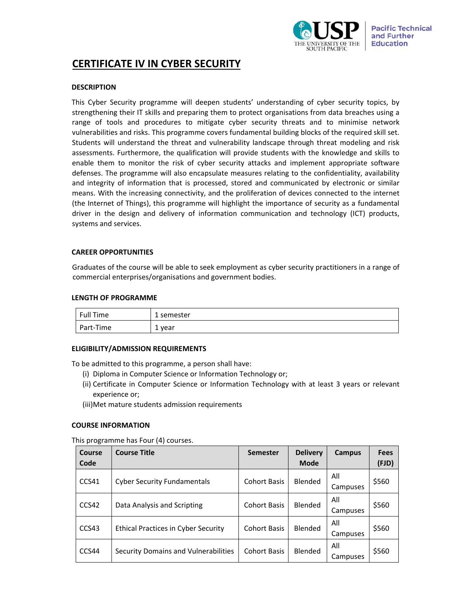

# **CERTIFICATE IV IN CYBER SECURITY**

# **DESCRIPTION**

This Cyber Security programme will deepen students' understanding of cyber security topics, by strengthening their IT skills and preparing them to protect organisations from data breaches using a range of tools and procedures to mitigate cyber security threats and to minimise network vulnerabilities and risks. This programme covers fundamental building blocks of the required skill set. Students will understand the threat and vulnerability landscape through threat modeling and risk assessments. Furthermore, the qualification will provide students with the knowledge and skills to enable them to monitor the risk of cyber security attacks and implement appropriate software defenses. The programme will also encapsulate measures relating to the confidentiality, availability and integrity of information that is processed, stored and communicated by electronic or similar means. With the increasing connectivity, and the proliferation of devices connected to the internet (the Internet of Things), this programme will highlight the importance of security as a fundamental driver in the design and delivery of information communication and technology (ICT) products, systems and services.

# **CAREER OPPORTUNITIES**

Graduates of the course will be able to seek employment as cyber security practitioners in a range of commercial enterprises/organisations and government bodies.

## **LENGTH OF PROGRAMME**

| Full Time | 1 semester            |
|-----------|-----------------------|
| Part-Time | vear<br><u>. на с</u> |

# **ELIGIBILITY/ADMISSION REQUIREMENTS**

To be admitted to this programme, a person shall have:

- (i) Diploma in Computer Science or Information Technology or;
- (ii) Certificate in Computer Science or Information Technology with at least 3 years or relevant experience or;
- (iii)Met mature students admission requirements

# **COURSE INFORMATION**

This programme has Four (4) courses.

| Course<br>Code | <b>Course Title</b>                        | <b>Semester</b>     | <b>Delivery</b><br><b>Mode</b> | Campus          | <b>Fees</b><br>(FJD) |
|----------------|--------------------------------------------|---------------------|--------------------------------|-----------------|----------------------|
| CCS41          | <b>Cyber Security Fundamentals</b>         | <b>Cohort Basis</b> | Blended                        | All<br>Campuses | \$560                |
| CCS42          | Data Analysis and Scripting                | <b>Cohort Basis</b> | <b>Blended</b>                 | All<br>Campuses | \$560                |
| CCS43          | <b>Ethical Practices in Cyber Security</b> | <b>Cohort Basis</b> | Blended                        | All<br>Campuses | \$560                |
| CCS44          | Security Domains and Vulnerabilities       | <b>Cohort Basis</b> | Blended                        | All<br>Campuses | \$560                |